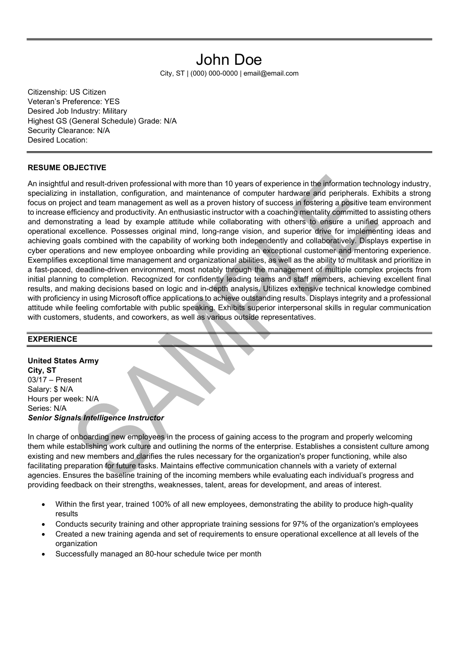# John Doe

City, ST | (000) 000-0000 | email@email.com

Citizenship: US Citizen Veteran's Preference: YES Desired Job Industry: Military Highest GS (General Schedule) Grade: N/A Security Clearance: N/A Desired Location:

### RESUME OBJECTIVE

An insightful and result-driven professional with more than 10 years of experience in the information technology industry, specializing in installation, configuration, and maintenance of computer hardware and peripherals. Exhibits a strong focus on project and team management as well as a proven history of success in fostering a positive team environment to increase efficiency and productivity. An enthusiastic instructor with a coaching mentality committed to assisting others and demonstrating a lead by example attitude while collaborating with others to ensure a unified approach and operational excellence. Possesses original mind, long-range vision, and superior drive for implementing ideas and achieving goals combined with the capability of working both independently and collaboratively. Displays expertise in cyber operations and new employee onboarding while providing an exceptional customer and mentoring experience. Exemplifies exceptional time management and organizational abilities, as well as the ability to multitask and prioritize in a fast-paced, deadline-driven environment, most notably through the management of multiple complex projects from initial planning to completion. Recognized for confidently leading teams and staff members, achieving excellent final results, and making decisions based on logic and in-depth analysis. Utilizes extensive technical knowledge combined with proficiency in using Microsoft office applications to achieve outstanding results. Displays integrity and a professional attitude while feeling comfortable with public speaking. Exhibits superior interpersonal skills in regular communication with customers, students, and coworkers, as well as various outside representatives.

### **EXPERIENCE**

United States Army City, ST 03/17 – Present Salary: \$ N/A Hours per week: N/A Series: N/A Senior Signals Intelligence Instructor

In charge of onboarding new employees in the process of gaining access to the program and properly welcoming them while establishing work culture and outlining the norms of the enterprise. Establishes a consistent culture among existing and new members and clarifies the rules necessary for the organization's proper functioning, while also facilitating preparation for future tasks. Maintains effective communication channels with a variety of external agencies. Ensures the baseline training of the incoming members while evaluating each individual's progress and providing feedback on their strengths, weaknesses, talent, areas for development, and areas of interest.

- Within the first year, trained 100% of all new employees, demonstrating the ability to produce high-quality results
- Conducts security training and other appropriate training sessions for 97% of the organization's employees
- Created a new training agenda and set of requirements to ensure operational excellence at all levels of the organization
- Successfully managed an 80-hour schedule twice per month